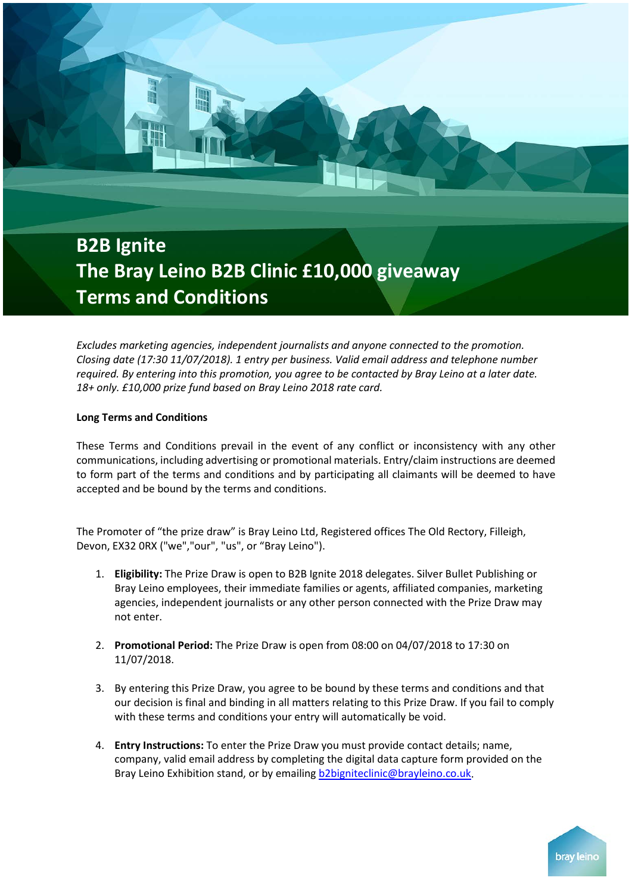## **B2B Ignite The Bray Leino B2B Clinic £10,000 giveaway Terms and Conditions**

*Excludes marketing agencies, independent journalists and anyone connected to the promotion. Closing date (17:30 11/07/2018). 1 entry per business. Valid email address and telephone number required. By entering into this promotion, you agree to be contacted by Bray Leino at a later date. 18+ only. £10,000 prize fund based on Bray Leino 2018 rate card.*

## **Long Terms and Conditions**

These Terms and Conditions prevail in the event of any conflict or inconsistency with any other communications, including advertising or promotional materials. Entry/claim instructions are deemed to form part of the terms and conditions and by participating all claimants will be deemed to have accepted and be bound by the terms and conditions.

The Promoter of "the prize draw" is Bray Leino Ltd, Registered offices The Old Rectory, Filleigh, Devon, EX32 0RX ("we","our", "us", or "Bray Leino").

- 1. **Eligibility:** The Prize Draw is open to B2B Ignite 2018 delegates. Silver Bullet Publishing or Bray Leino employees, their immediate families or agents, affiliated companies, marketing agencies, independent journalists or any other person connected with the Prize Draw may not enter.
- 2. **Promotional Period:** The Prize Draw is open from 08:00 on 04/07/2018 to 17:30 on 11/07/2018.
- 3. By entering this Prize Draw, you agree to be bound by these terms and conditions and that our decision is final and binding in all matters relating to this Prize Draw. If you fail to comply with these terms and conditions your entry will automatically be void.
- 4. **Entry Instructions:** To enter the Prize Draw you must provide contact details; name, company, valid email address by completing the digital data capture form provided on the Bray Leino Exhibition stand, or by emailing [b2bigniteclinic@brayleino.co.uk.](mailto:b2bigniteclinic@brayleino.co.uk)